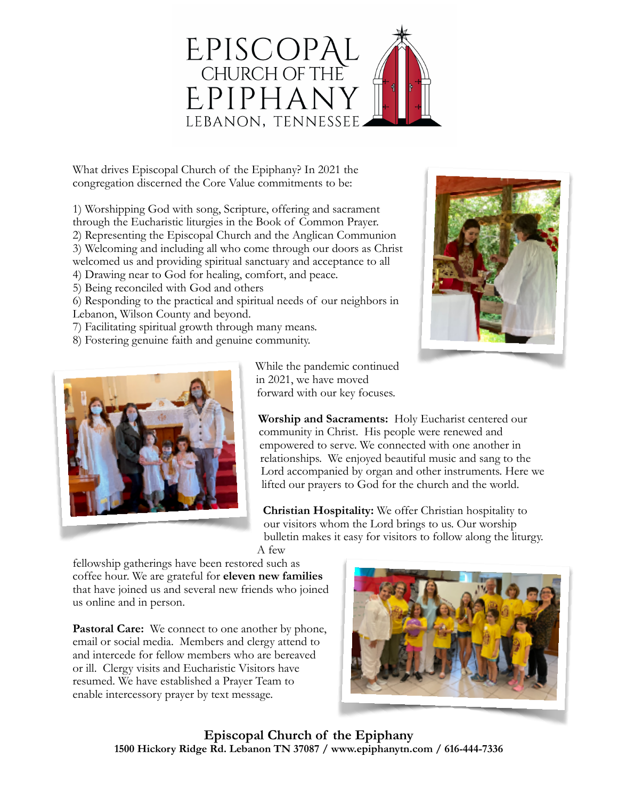

What drives Episcopal Church of the Epiphany? In 2021 the congregation discerned the Core Value commitments to be:

1) Worshipping God with song, Scripture, offering and sacrament through the Eucharistic liturgies in the Book of Common Prayer.

2) Representing the Episcopal Church and the Anglican Communion

3) Welcoming and including all who come through our doors as Christ

welcomed us and providing spiritual sanctuary and acceptance to all

4) Drawing near to God for healing, comfort, and peace.

5) Being reconciled with God and others

6) Responding to the practical and spiritual needs of our neighbors in

- Lebanon, Wilson County and beyond.
- 7) Facilitating spiritual growth through many means.
- 8) Fostering genuine faith and genuine community.





While the pandemic continued in 2021, we have moved forward with our key focuses.

**Worship and Sacraments:** Holy Eucharist centered our community in Christ. His people were renewed and empowered to serve. We connected with one another in relationships. We enjoyed beautiful music and sang to the Lord accompanied by organ and other instruments. Here we lifted our prayers to God for the church and the world.

**Christian Hospitality:** We offer Christian hospitality to our visitors whom the Lord brings to us. Our worship bulletin makes it easy for visitors to follow along the liturgy.

A few

fellowship gatherings have been restored such as coffee hour. We are grateful for **eleven new families**  that have joined us and several new friends who joined us online and in person.

Pastoral Care: We connect to one another by phone, email or social media. Members and clergy attend to and intercede for fellow members who are bereaved or ill. Clergy visits and Eucharistic Visitors have resumed. We have established a Prayer Team to enable intercessory prayer by text message.